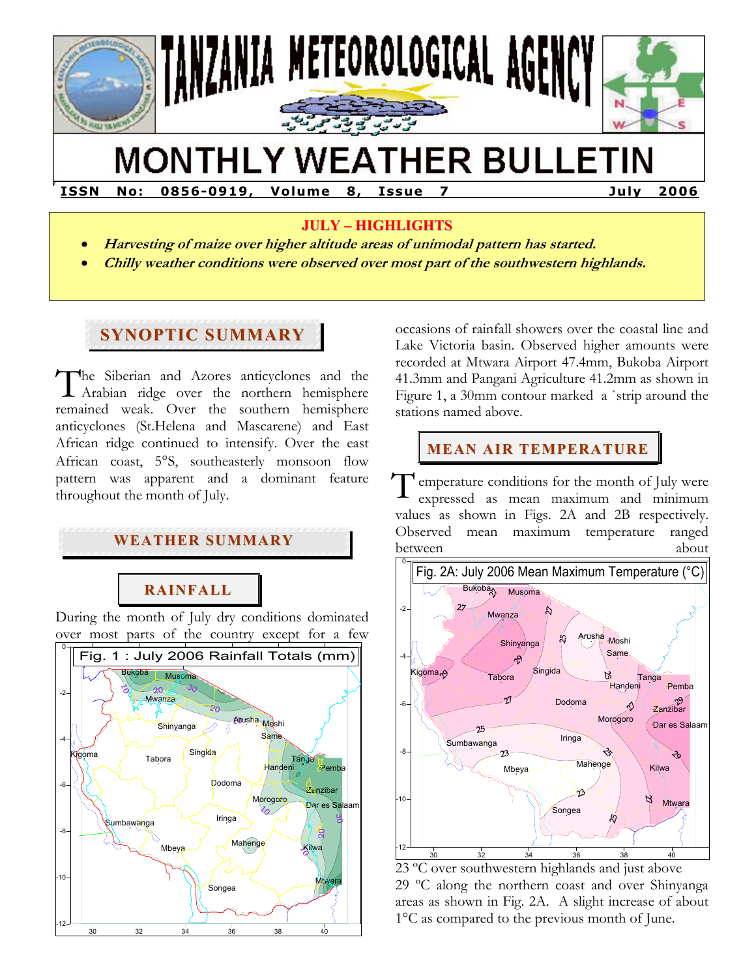

# **MONTHLY WEATHER BULLETIN**

**ISSN No : 0856-0919 , Vo lume 8 , Issue 7 Ju ly 2006** 

#### **JULY – HIGHLIGHTS**

- **Harvesting of maize over higher altitude areas of unimodal pattern has started.**
- **Chilly weather conditions were observed over most part of the southwestern highlands.**

# **SYNOPTIC SUMMARY**

**F** 

The Siberian and Azores anticyclones and the Arabian ridge over the northern hemisphere Arabian ridge over the northern hemisphere remained weak. Over the southern hemisphere anticyclones (St.Helena and Mascarene) and East African ridge continued to intensify. Over the east African coast, 5°S, southeasterly monsoon flow pattern was apparent and a dominant feature throughout the month of July.

### **WEATHER SUMMARY**

# **RAINFALL**

During the month of July dry conditions dominated over most parts of the country except for a few



occasions of rainfall showers over the coastal line and Lake Victoria basin. Observed higher amounts were recorded at Mtwara Airport 47.4mm, Bukoba Airport 41.3mm and Pangani Agriculture 41.2mm as shown in Figure 1, a 30mm contour marked a `strip around the stations named above.

## **MEAN AIR TEMPERATURE**

emperature conditions for the month of July were expressed as mean maximum and minimum values as shown in Figs. 2A and 2B respectively. Observed mean maximum temperature ranged between about a bout about T



23 ºC over southwestern highlands and just above 29 ºC along the northern coast and over Shinyanga areas as shown in Fig. 2A. A slight increase of about 1°C as compared to the previous month of June.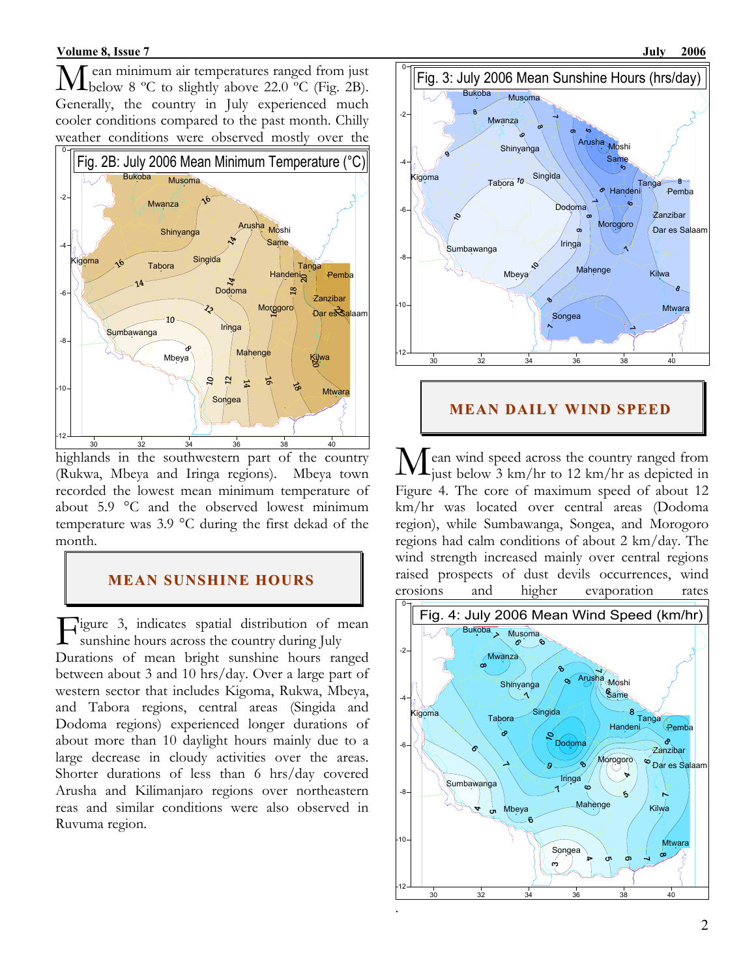ean minimum air temperatures ranged from just  $\rm\bf M$  ean minimum air temperatures ranged from just below 8 °C to slightly above 22.0 °C (Fig. 2B). Generally, the country in July experienced much cooler conditions compared to the past month. Chilly weather conditions were observed mostly over the



highlands in the southwestern part of the country (Rukwa, Mbeya and Iringa regions). Mbeya town recorded the lowest mean minimum temperature of about 5.9 °C and the observed lowest minimum temperature was 3.9 °C during the first dekad of the month.

#### **MEAN SUNSHINE HOURS**

igure 3, indicates spatial distribution of mean Figure 3, indicates spatial distribution of m<br>sunshine hours across the country during July Durations of mean bright sunshine hours ranged between about 3 and 10 hrs/day. Over a large part of western sector that includes Kigoma, Rukwa, Mbeya, and Tabora regions, central areas (Singida and Dodoma regions) experienced longer durations of about more than 10 daylight hours mainly due to a large decrease in cloudy activities over the areas. Shorter durations of less than 6 hrs/day covered Arusha and Kilimanjaro regions over northeastern reas and similar conditions were also observed in Ruvuma region.



#### **MEAN DAILY WIND SPEED**

ean wind speed across the country ranged from  $\rm\bf M$ ean wind speed across the country ranged from<br>just below 3 km/hr to 12 km/hr as depicted in Figure 4. The core of maximum speed of about 12 km/hr was located over central areas (Dodoma region), while Sumbawanga, Songea, and Morogoro regions had calm conditions of about 2 km/day. The wind strength increased mainly over central regions raised prospects of dust devils occurrences, wind erosions and higher evaporation rates

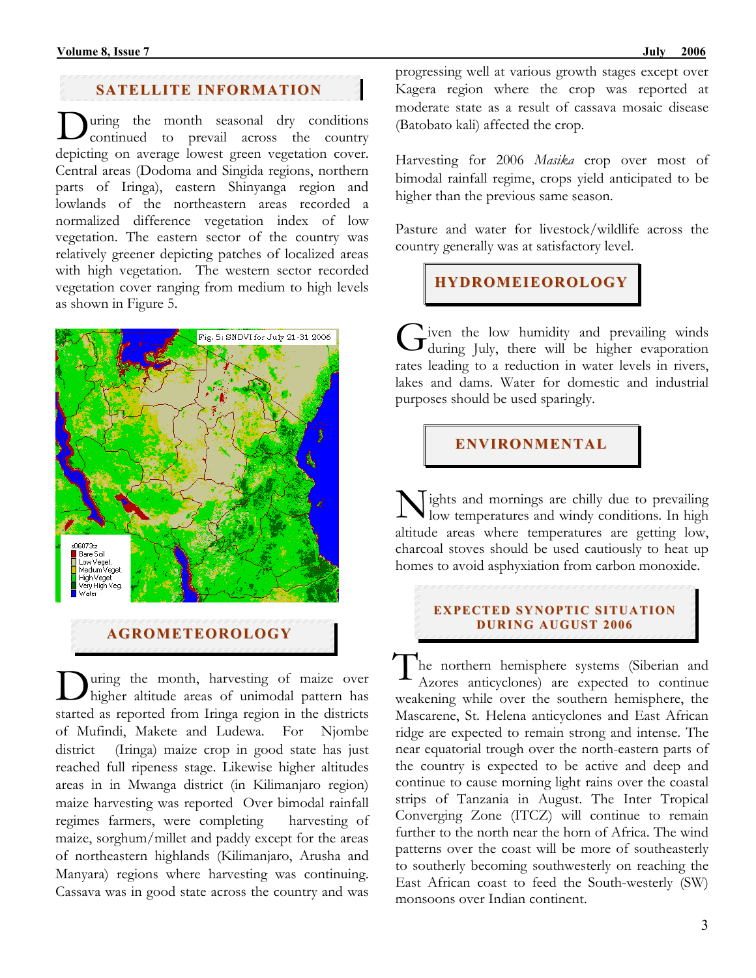#### **SATELLITE INFORMATION**

uring the month seasonal dry conditions During the month seasonal dry conditions<br>continued to prevail across the country depicting on average lowest green vegetation cover. Central areas (Dodoma and Singida regions, northern parts of Iringa), eastern Shinyanga region and lowlands of the northeastern areas recorded a normalized difference vegetation index of low vegetation. The eastern sector of the country was relatively greener depicting patches of localized areas with high vegetation. The western sector recorded vegetation cover ranging from medium to high levels as shown in Figure 5.



**AGROMETEOROLOGY**

uring the month, harvesting of maize over During the month, harvesting of maize over<br>higher altitude areas of unimodal pattern has started as reported from Iringa region in the districts of Mufindi, Makete and Ludewa. For Njombe district (Iringa) maize crop in good state has just reached full ripeness stage. Likewise higher altitudes areas in in Mwanga district (in Kilimanjaro region) maize harvesting was reported Over bimodal rainfall regimes farmers, were completing harvesting of maize, sorghum/millet and paddy except for the areas of northeastern highlands (Kilimanjaro, Arusha and Manyara) regions where harvesting was continuing. Cassava was in good state across the country and was

progressing well at various growth stages except over Kagera region where the crop was reported at moderate state as a result of cassava mosaic disease (Batobato kali) affected the crop.

Harvesting for 2006 *Masika* crop over most of bimodal rainfall regime, crops yield anticipated to be higher than the previous same season.

Pasture and water for livestock/wildlife across the country generally was at satisfactory level.

**HYDROMEIEOROLOGY**

iven the low humidity and prevailing winds Given the low humidity and prevailing winds<br>Guring July, there will be higher evaporation rates leading to a reduction in water levels in rivers, lakes and dams. Water for domestic and industrial purposes should be used sparingly.

### **ENVIRONMENTAL**

ights and mornings are chilly due to prevailing Nights and mornings are chilly due to prevailing<br>low temperatures and windy conditions. In high altitude areas where temperatures are getting low, charcoal stoves should be used cautiously to heat up homes to avoid asphyxiation from carbon monoxide.

#### **EXPECTED SYNOPTIC SITUATION DURI NG AUGUST 2006**

he northern hemisphere systems (Siberian and Azores anticyclones) are expected to continue weakening while over the southern hemisphere, the Mascarene, St. Helena anticyclones and East African ridge are expected to remain strong and intense. The near equatorial trough over the north-eastern parts of the country is expected to be active and deep and continue to cause morning light rains over the coastal strips of Tanzania in August. The Inter Tropical Converging Zone (ITCZ) will continue to remain further to the north near the horn of Africa. The wind patterns over the coast will be more of southeasterly to southerly becoming southwesterly on reaching the East African coast to feed the South-westerly (SW) monsoons over Indian continent. T